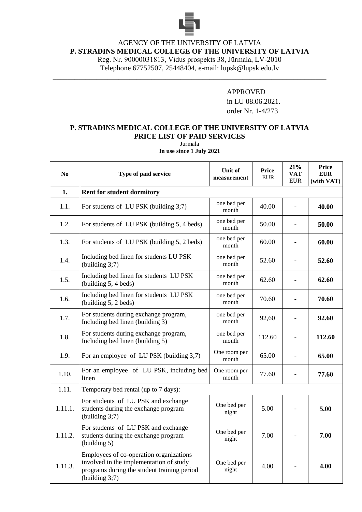

## AGENCY OF THE UNIVERSITY OF LATVIA

**P. STRADINS MEDICAL COLLEGE OF THE UNIVERSITY OF LATVIA**

Reg. Nr. 90000031813, Vidus prospekts 38, Jūrmala, LV-2010

Telephone 67752507, 25448404, e-mail: lupsk@lupsk.edu.lv \_\_\_\_\_\_\_\_\_\_\_\_\_\_\_\_\_\_\_\_\_\_\_\_\_\_\_\_\_\_\_\_\_\_\_\_\_\_\_\_\_\_\_\_\_\_\_\_\_\_\_\_\_\_\_\_\_\_\_\_\_\_\_\_\_\_\_\_\_\_\_\_\_\_\_

## APPROVED

in LU 08.06.2021. order Nr. 1-4/273

## **P. STRADINS MEDICAL COLLEGE OF THE UNIVERSITY OF LATVIA PRICE LIST OF PAID SERVICES**

Jurmala **In use since 1 July 2021**

| N <sub>0</sub> | Type of paid service                                                                                                                                | Unit of<br>measurement | <b>Price</b><br><b>EUR</b> | 21%<br><b>VAT</b><br><b>EUR</b> | <b>Price</b><br><b>EUR</b><br>(with VAT) |  |
|----------------|-----------------------------------------------------------------------------------------------------------------------------------------------------|------------------------|----------------------------|---------------------------------|------------------------------------------|--|
| 1.             | <b>Rent for student dormitory</b>                                                                                                                   |                        |                            |                                 |                                          |  |
| 1.1.           | For students of LU PSK (building 3;7)                                                                                                               | one bed per<br>month   | 40.00                      | $\overline{\phantom{a}}$        | 40.00                                    |  |
| 1.2.           | For students of LU PSK (building 5, 4 beds)                                                                                                         | one bed per<br>month   | 50.00                      | $\overline{\phantom{0}}$        | 50.00                                    |  |
| 1.3.           | For students of LU PSK (building 5, 2 beds)                                                                                                         | one bed per<br>month   | 60.00                      | $\qquad \qquad -$               | 60.00                                    |  |
| 1.4.           | Including bed linen for students LU PSK<br>(building $3;7$ )                                                                                        | one bed per<br>month   | 52.60                      |                                 | 52.60                                    |  |
| 1.5.           | Including bed linen for students LU PSK<br>(building 5, 4 beds)                                                                                     | one bed per<br>month   | 62.60                      |                                 | 62.60                                    |  |
| 1.6.           | Including bed linen for students LU PSK<br>(building 5, 2 beds)                                                                                     | one bed per<br>month   | 70.60                      |                                 | 70.60                                    |  |
| 1.7.           | For students during exchange program,<br>Including bed linen (building 3)                                                                           | one bed per<br>month   | 92,60                      |                                 | 92.60                                    |  |
| 1.8.           | For students during exchange program,<br>Including bed linen (building 5)                                                                           | one bed per<br>month   | 112.60                     | $\qquad \qquad -$               | 112.60                                   |  |
| 1.9.           | For an employee of LU PSK (building 3;7)                                                                                                            | One room per<br>month  | 65.00                      | $\overline{\phantom{0}}$        | 65.00                                    |  |
| 1.10.          | For an employee of LU PSK, including bed<br>linen                                                                                                   | One room per<br>month  | 77.60                      | $\overline{\phantom{a}}$        | 77.60                                    |  |
| 1.11.          | Temporary bed rental (up to 7 days):                                                                                                                |                        |                            |                                 |                                          |  |
| 1.11.1.        | For students of LU PSK and exchange<br>students during the exchange program<br>(building 3;7)                                                       | One bed per<br>night   | 5.00                       |                                 | 5.00                                     |  |
| 1.11.2.        | For students of LU PSK and exchange<br>students during the exchange program<br>(building 5)                                                         | One bed per<br>night   | 7.00                       |                                 | 7.00                                     |  |
| 1.11.3.        | Employees of co-operation organizations<br>involved in the implementation of study<br>programs during the student training period<br>(building 3;7) | One bed per<br>night   | 4.00                       |                                 | 4.00                                     |  |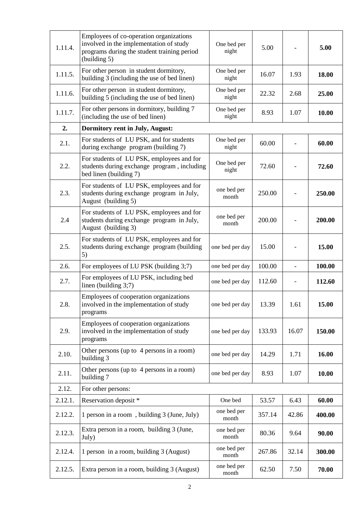| 1.11.4. | Employees of co-operation organizations<br>involved in the implementation of study<br>programs during the student training period<br>(building 5) | One bed per<br>night | 5.00   |       | 5.00   |
|---------|---------------------------------------------------------------------------------------------------------------------------------------------------|----------------------|--------|-------|--------|
| 1.11.5. | For other person in student dormitory,<br>building 3 (including the use of bed linen)                                                             | One bed per<br>night | 16.07  | 1.93  | 18.00  |
| 1.11.6. | For other person in student dormitory,<br>building 5 (including the use of bed linen)                                                             | One bed per<br>night | 22.32  | 2.68  | 25.00  |
| 1.11.7. | For other persons in dormitory, building 7<br>(including the use of bed linen)                                                                    | One bed per<br>night | 8.93   | 1.07  | 10.00  |
| 2.      | <b>Dormitory rent in July, August:</b>                                                                                                            |                      |        |       |        |
| 2.1.    | For students of LU PSK, and for students<br>during exchange program (building 7)                                                                  | One bed per<br>night | 60.00  |       | 60.00  |
| 2.2.    | For students of LU PSK, employees and for<br>students during exchange program, including<br>bed linen (building 7)                                | One bed per<br>night | 72.60  |       | 72.60  |
| 2.3.    | For students of LU PSK, employees and for<br>students during exchange program in July,<br>August (building 5)                                     | one bed per<br>month | 250.00 |       | 250.00 |
| 2.4     | For students of LU PSK, employees and for<br>students during exchange program in July,<br>August (building 3)                                     | one bed per<br>month | 200.00 |       | 200.00 |
| 2.5.    | For students of LU PSK, employees and for<br>students during exchange program (building<br>5)                                                     | one bed per day      | 15.00  |       | 15.00  |
| 2.6.    | For employees of LU PSK (building 3;7)                                                                                                            | one bed per day      | 100.00 |       | 100.00 |
| 2.7.    | For employees of LU PSK, including bed<br>linen (building 3;7)                                                                                    | one bed per day      | 112.60 |       | 112.60 |
| 2.8.    | Employees of cooperation organizations<br>involved in the implementation of study<br>programs                                                     | one bed per day      | 13.39  | 1.61  | 15.00  |
| 2.9.    | Employees of cooperation organizations<br>involved in the implementation of study<br>programs                                                     | one bed per day      | 133.93 | 16.07 | 150.00 |
| 2.10.   | Other persons (up to 4 persons in a room)<br>building 3                                                                                           | one bed per day      | 14.29  | 1.71  | 16.00  |
| 2.11.   | Other persons (up to 4 persons in a room)<br>building 7                                                                                           | one bed per day      | 8.93   | 1.07  | 10.00  |
| 2.12.   | For other persons:                                                                                                                                |                      |        |       |        |
| 2.12.1. | Reservation deposit *                                                                                                                             | One bed              | 53.57  | 6.43  | 60.00  |
| 2.12.2. | 1 person in a room, building 3 (June, July)                                                                                                       | one bed per<br>month | 357.14 | 42.86 | 400.00 |
| 2.12.3. | Extra person in a room, building 3 (June,<br>July)                                                                                                | one bed per<br>month | 80.36  | 9.64  | 90.00  |
| 2.12.4. | 1 person in a room, building 3 (August)                                                                                                           | one bed per<br>month | 267.86 | 32.14 | 300.00 |
| 2.12.5. | Extra person in a room, building 3 (August)                                                                                                       | one bed per<br>month | 62.50  | 7.50  | 70.00  |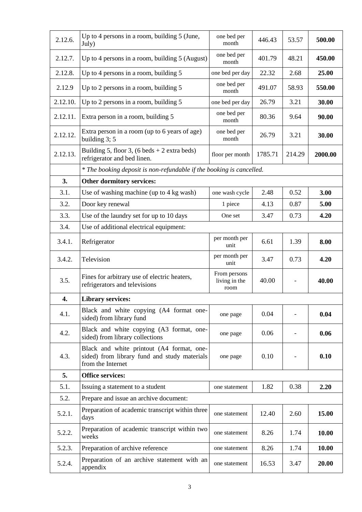| 2.12.6.  | Up to 4 persons in a room, building 5 (June,<br>July)                                                          | one bed per<br>month                  | 446.43  | 53.57                    | 500.00  |  |  |
|----------|----------------------------------------------------------------------------------------------------------------|---------------------------------------|---------|--------------------------|---------|--|--|
| 2.12.7.  | Up to 4 persons in a room, building 5 (August)                                                                 | one bed per<br>month                  | 401.79  | 48.21                    | 450.00  |  |  |
| 2.12.8.  | Up to 4 persons in a room, building 5                                                                          | one bed per day                       | 22.32   | 2.68                     | 25.00   |  |  |
| 2.12.9   | Up to 2 persons in a room, building 5                                                                          | one bed per<br>month                  | 491.07  | 58.93                    | 550.00  |  |  |
| 2.12.10. | Up to 2 persons in a room, building 5                                                                          | one bed per day                       | 26.79   | 3.21                     | 30.00   |  |  |
| 2.12.11. | Extra person in a room, building 5                                                                             | one bed per<br>month                  | 80.36   | 9.64                     | 90.00   |  |  |
| 2.12.12. | Extra person in a room (up to 6 years of age)<br>building $3; 5$                                               | one bed per<br>month                  | 26.79   | 3.21                     | 30.00   |  |  |
| 2.12.13. | Building 5, floor 3, (6 beds $+ 2$ extra beds)<br>refrigerator and bed linen.                                  | floor per month                       | 1785.71 | 214.29                   | 2000.00 |  |  |
|          | * The booking deposit is non-refundable if the booking is cancelled.                                           |                                       |         |                          |         |  |  |
| 3.       | Other dormitory services:                                                                                      |                                       |         |                          |         |  |  |
| 3.1.     | Use of washing machine (up to 4 kg wash)                                                                       | one wash cycle                        | 2.48    | 0.52                     | 3.00    |  |  |
| 3.2.     | Door key renewal                                                                                               | 1 piece                               | 4.13    | 0.87                     | 5.00    |  |  |
| 3.3.     | Use of the laundry set for up to 10 days                                                                       | One set                               | 3.47    | 0.73                     | 4.20    |  |  |
| 3.4.     | Use of additional electrical equipment:                                                                        |                                       |         |                          |         |  |  |
| 3.4.1.   | Refrigerator                                                                                                   | per month per<br>unit                 | 6.61    | 1.39                     | 8.00    |  |  |
| 3.4.2.   | Television                                                                                                     | per month per<br>unit                 | 3.47    | 0.73                     | 4.20    |  |  |
| 3.5.     | Fines for arbitrary use of electric heaters,<br>refrigerators and televisions                                  | From persons<br>living in the<br>room | 40.00   |                          | 40.00   |  |  |
| 4.       | <b>Library services:</b>                                                                                       |                                       |         |                          |         |  |  |
| 4.1.     | Black and white copying (A4 format one-<br>sided) from library fund                                            | one page                              | 0.04    |                          | 0.04    |  |  |
| 4.2.     | Black and white copying (A3 format, one-<br>sided) from library collections                                    | one page                              | 0.06    | $\overline{\phantom{a}}$ | 0.06    |  |  |
| 4.3.     | Black and white printout (A4 format, one-<br>sided) from library fund and study materials<br>from the Internet | one page                              | 0.10    |                          | 0.10    |  |  |
| 5.       | <b>Office services:</b>                                                                                        |                                       |         |                          |         |  |  |
| 5.1.     | Issuing a statement to a student                                                                               | one statement                         | 1.82    | 0.38                     | 2.20    |  |  |
| 5.2.     | Prepare and issue an archive document:                                                                         |                                       |         |                          |         |  |  |
| 5.2.1.   | Preparation of academic transcript within three<br>days                                                        | one statement                         | 12.40   | 2.60                     | 15.00   |  |  |
| 5.2.2.   | Preparation of academic transcript within two<br>weeks                                                         | one statement                         | 8.26    | 1.74                     | 10.00   |  |  |
| 5.2.3.   | Preparation of archive reference                                                                               | one statement                         | 8.26    | 1.74                     | 10.00   |  |  |
| 5.2.4.   | Preparation of an archive statement with an<br>appendix                                                        | one statement                         | 16.53   | 3.47                     | 20.00   |  |  |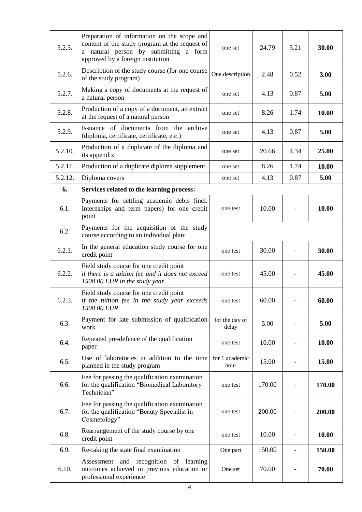| 5.2.5.  | Preparation of information on the scope and<br>content of the study program at the request of<br>a natural person by submitting a form<br>approved by a foreign institution | one set                 | 24.79  | 5.21                     | 30.00  |
|---------|-----------------------------------------------------------------------------------------------------------------------------------------------------------------------------|-------------------------|--------|--------------------------|--------|
| 5.2.6.  | Description of the study course (for one course<br>of the study program)                                                                                                    | One description         | 2.48   | 0.52                     | 3.00   |
| 5.2.7.  | Making a copy of documents at the request of<br>a natural person                                                                                                            | one set                 | 4.13   | 0.87                     | 5.00   |
| 5.2.8.  | Production of a copy of a document, an extract<br>at the request of a natural person                                                                                        | one set                 | 8.26   | 1.74                     | 10.00  |
| 5.2.9.  | Issuance of documents from the archive<br>(diploma, certificate, certificate, etc.)                                                                                         | one set                 | 4.13   | 0.87                     | 5.00   |
| 5.2.10. | Production of a duplicate of the diploma and<br>its appendix                                                                                                                | one set                 | 20.66  | 4.34                     | 25.00  |
| 5.2.11. | Production of a duplicate diploma supplement                                                                                                                                | one set                 | 8.26   | 1.74                     | 10.00  |
| 5.2.12. | Diploma covers                                                                                                                                                              | one set                 | 4.13   | 0.87                     | 5.00   |
| 6.      | Services related to the learning process:                                                                                                                                   |                         |        |                          |        |
| 6.1.    | Payments for settling academic debts (incl.<br>Internships and term papers) for one credit<br>point                                                                         | one test                | 10.00  |                          | 10.00  |
| 6.2.    | Payments for the acquisition of the study<br>course according to an individual plan:                                                                                        |                         |        |                          |        |
| 6.2.1.  | In the general education study course for one<br>credit point                                                                                                               | one test                | 30.00  |                          | 30.00  |
| 6.2.2.  | Field study course for one credit point<br>if there is a tuition fee and it does not exceed<br>1500.00 EUR in the study year                                                | one test                | 45.00  |                          | 45.00  |
| 6.2.3.  | Field study course for one credit point<br>if the tuition fee in the study year exceeds<br>1500.00 EUR                                                                      | one test                | 60.00  |                          | 60.00  |
| 6.3.    | Payment for late submission of qualification<br>work                                                                                                                        | for the day of<br>delay | 5.00   |                          | 5.00   |
| 6.4.    | Repeated pre-defence of the qualification<br>paper                                                                                                                          | one test                | 10.00  |                          | 10.00  |
| 6.5.    | Use of laboratories in addition to the time<br>planned in the study program                                                                                                 | for 1 academic<br>hour  | 15.00  |                          | 15.00  |
| 6.6.    | Fee for passing the qualification examination<br>for the qualification "Biomedical Laboratory<br>Technician"                                                                | one test                | 170.00 |                          | 170.00 |
| 6.7.    | Fee for passing the qualification examination<br>for the qualification "Beauty Specialist in<br>Cosmetology"                                                                | one test                | 200.00 |                          | 200.00 |
| 6.8.    | Rearrangement of the study course by one<br>credit point                                                                                                                    | one test                | 10.00  |                          | 10.00  |
| 6.9.    | Re-taking the state final examination                                                                                                                                       | One part                | 150.00 | $\overline{\phantom{a}}$ | 150.00 |
| 6.10.   | Assessment and recognition of learning<br>outcomes achieved in previous education or<br>professional experience                                                             | One set                 | 70.00  |                          | 70.00  |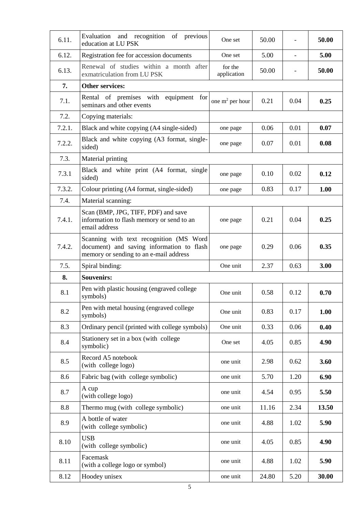| 6.11.  | Evaluation and recognition of previous<br>education at LU PSK                                                                  | One set                | 50.00 |      | 50.00 |
|--------|--------------------------------------------------------------------------------------------------------------------------------|------------------------|-------|------|-------|
| 6.12.  | Registration fee for accession documents                                                                                       | One set                | 5.00  |      | 5.00  |
| 6.13.  | Renewal of studies within a month after<br>exmatriculation from LU PSK                                                         | for the<br>application | 50.00 |      | 50.00 |
| 7.     | <b>Other services:</b>                                                                                                         |                        |       |      |       |
| 7.1.   | Rental of premises with<br>equipment for<br>seminars and other events                                                          | one $m^2$ per hour     | 0.21  | 0.04 | 0.25  |
| 7.2.   | Copying materials:                                                                                                             |                        |       |      |       |
| 7.2.1. | Black and white copying (A4 single-sided)                                                                                      | one page               | 0.06  | 0.01 | 0.07  |
| 7.2.2. | Black and white copying (A3 format, single-<br>sided)                                                                          | one page               | 0.07  | 0.01 | 0.08  |
| 7.3.   | Material printing                                                                                                              |                        |       |      |       |
| 7.3.1  | Black and white print (A4 format, single<br>sided)                                                                             | one page               | 0.10  | 0.02 | 0.12  |
| 7.3.2. | Colour printing (A4 format, single-sided)                                                                                      | one page               | 0.83  | 0.17 | 1.00  |
| 7.4.   | Material scanning:                                                                                                             |                        |       |      |       |
| 7.4.1. | Scan (BMP, JPG, TIFF, PDF) and save<br>information to flash memory or send to an<br>email address                              | one page               | 0.21  | 0.04 | 0.25  |
| 7.4.2. | Scanning with text recognition (MS Word<br>document) and saving information to flash<br>memory or sending to an e-mail address | one page               | 0.29  | 0.06 | 0.35  |
| 7.5.   | Spiral binding:                                                                                                                | One unit               | 2.37  | 0.63 | 3.00  |
| 8.     | <b>Souvenirs:</b>                                                                                                              |                        |       |      |       |
| 8.1    | Pen with plastic housing (engraved college<br>symbols)                                                                         | One unit               | 0.58  | 0.12 | 0.70  |
| 8.2    | Pen with metal housing (engraved college<br>symbols)                                                                           | One unit               | 0.83  | 0.17 | 1.00  |
| 8.3    | Ordinary pencil (printed with college symbols)                                                                                 | One unit               | 0.33  | 0.06 | 0.40  |
| 8.4    | Stationery set in a box (with college<br>symbolic)                                                                             | One set                | 4.05  | 0.85 | 4.90  |
| 8.5    | Record A5 notebook<br>(with college logo)                                                                                      | one unit               | 2.98  | 0.62 | 3.60  |
| 8.6    | Fabric bag (with college symbolic)                                                                                             | one unit               | 5.70  | 1.20 | 6.90  |
| 8.7    | A cup<br>(with college logo)                                                                                                   | one unit               | 4.54  | 0.95 | 5.50  |
| 8.8    | Thermo mug (with college symbolic)                                                                                             | one unit               | 11.16 | 2.34 | 13.50 |
| 8.9    | A bottle of water<br>(with college symbolic)                                                                                   | one unit               | 4.88  | 1.02 | 5.90  |
| 8.10   | <b>USB</b><br>(with college symbolic)                                                                                          | one unit               | 4.05  | 0.85 | 4.90  |
| 8.11   | Facemask<br>(with a college logo or symbol)                                                                                    | one unit               | 4.88  | 1.02 | 5.90  |
| 8.12   | Hoodey unisex                                                                                                                  | one unit               | 24.80 | 5.20 | 30.00 |